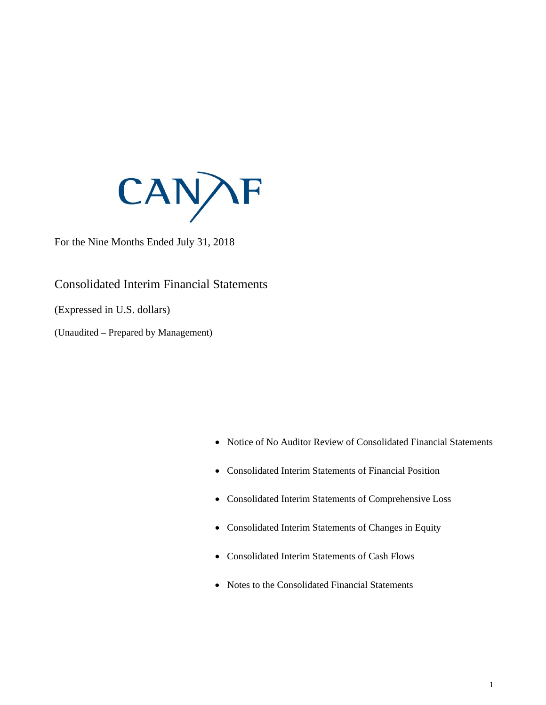

For the Nine Months Ended July 31, 2018

Consolidated Interim Financial Statements

(Expressed in U.S. dollars)

(Unaudited – Prepared by Management)

- Notice of No Auditor Review of Consolidated Financial Statements
- Consolidated Interim Statements of Financial Position
- Consolidated Interim Statements of Comprehensive Loss
- Consolidated Interim Statements of Changes in Equity
- Consolidated Interim Statements of Cash Flows
- Notes to the Consolidated Financial Statements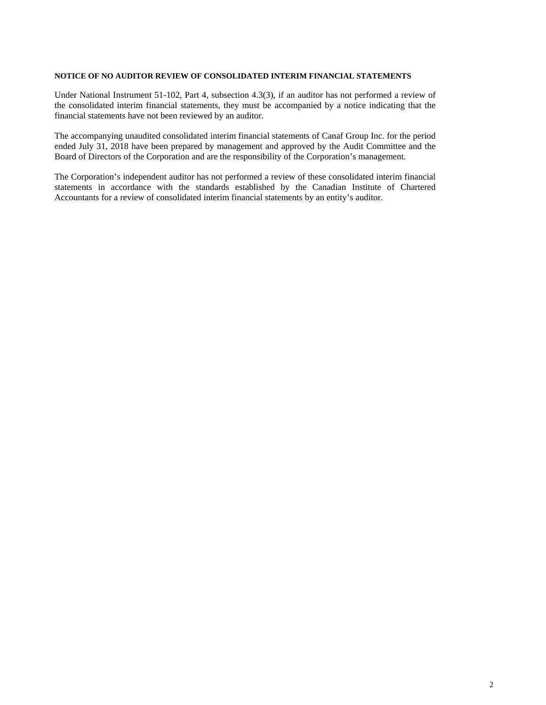#### **NOTICE OF NO AUDITOR REVIEW OF CONSOLIDATED INTERIM FINANCIAL STATEMENTS**

Under National Instrument 51-102, Part 4, subsection 4.3(3), if an auditor has not performed a review of the consolidated interim financial statements, they must be accompanied by a notice indicating that the financial statements have not been reviewed by an auditor.

The accompanying unaudited consolidated interim financial statements of Canaf Group Inc. for the period ended July 31, 2018 have been prepared by management and approved by the Audit Committee and the Board of Directors of the Corporation and are the responsibility of the Corporation's management.

The Corporation's independent auditor has not performed a review of these consolidated interim financial statements in accordance with the standards established by the Canadian Institute of Chartered Accountants for a review of consolidated interim financial statements by an entity's auditor.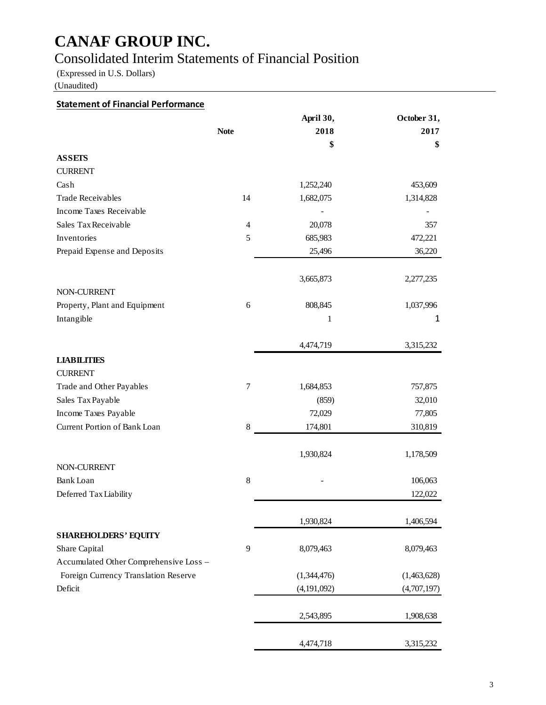## Consolidated Interim Statements of Financial Position

(Expressed in U.S. Dollars)

(Unaudited)

### **Statement of Financial Performance**

|                                        |                | April 30,   | October 31, |
|----------------------------------------|----------------|-------------|-------------|
|                                        | <b>Note</b>    | 2018        | 2017        |
|                                        |                | \$          | \$          |
| <b>ASSETS</b>                          |                |             |             |
| <b>CURRENT</b>                         |                |             |             |
| Cash                                   |                | 1,252,240   | 453,609     |
| <b>Trade Receivables</b>               | 14             | 1,682,075   | 1,314,828   |
| Income Taxes Receivable                |                |             |             |
| Sales Tax Receivable                   | $\overline{4}$ | 20,078      | 357         |
| Inventories                            | 5              | 685,983     | 472,221     |
| Prepaid Expense and Deposits           |                | 25,496      | 36,220      |
|                                        |                | 3,665,873   | 2,277,235   |
| NON-CURRENT                            |                |             |             |
| Property, Plant and Equipment          | 6              | 808,845     | 1,037,996   |
| Intangible                             |                | 1           | 1           |
|                                        |                | 4,474,719   | 3,315,232   |
| <b>LIABILITIES</b>                     |                |             |             |
| <b>CURRENT</b>                         |                |             |             |
| Trade and Other Payables               | $\tau$         | 1,684,853   | 757,875     |
| Sales Tax Payable                      |                | (859)       | 32,010      |
| Income Taxes Payable                   |                | 72,029      | 77,805      |
| Current Portion of Bank Loan           | 8              | 174,801     | 310,819     |
|                                        |                | 1,930,824   | 1,178,509   |
| NON-CURRENT                            |                |             |             |
| Bank Loan                              | 8              |             | 106,063     |
| Deferred Tax Liability                 |                |             | 122,022     |
|                                        |                | 1,930,824   | 1,406,594   |
| <b>SHAREHOLDERS' EQUITY</b>            |                |             |             |
| Share Capital                          | 9              | 8,079,463   | 8,079,463   |
| Accumulated Other Comprehensive Loss - |                |             |             |
| Foreign Currency Translation Reserve   |                | (1,344,476) | (1,463,628) |
| Deficit                                |                | (4,191,092) | (4,707,197) |
|                                        |                | 2,543,895   | 1,908,638   |
|                                        |                | 4,474,718   | 3,315,232   |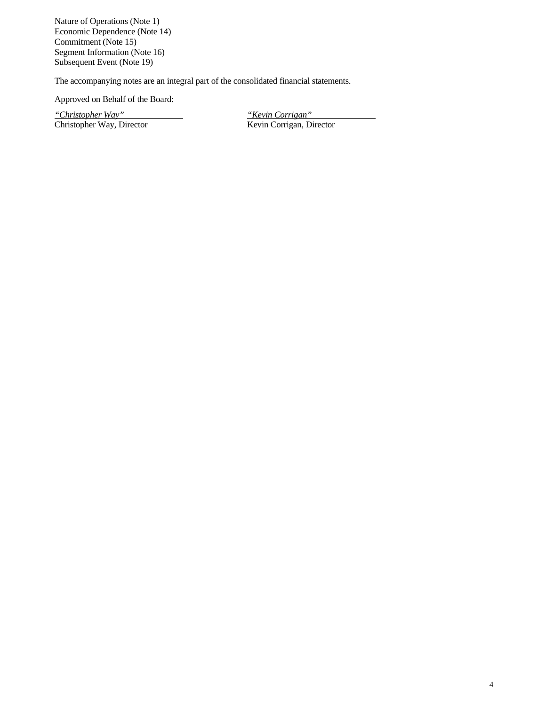Nature of Operations (Note 1) Economic Dependence (Note 14) Commitment (Note 15) Segment Information (Note 16) Subsequent Event (Note 19)

The accompanying notes are an integral part of the consolidated financial statements.

Approved on Behalf of the Board:

*"Christopher Way" "Kevin Corrigan"* Christopher Way, Director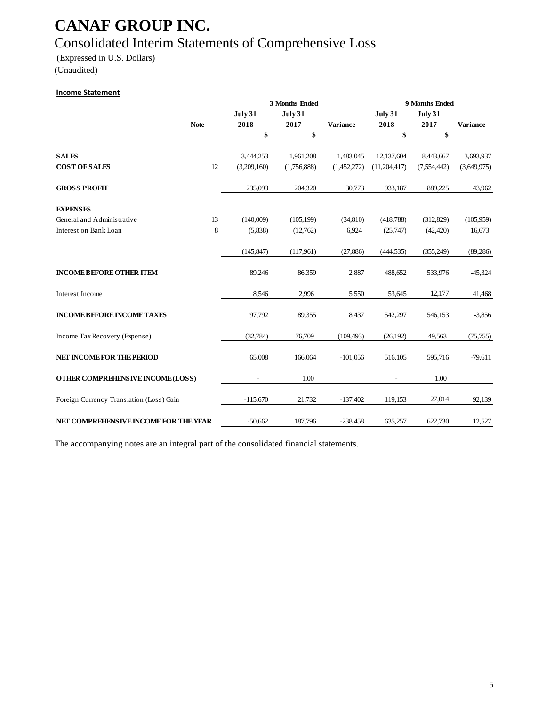## Consolidated Interim Statements of Comprehensive Loss

(Expressed in U.S. Dollars)

(Unaudited)

#### **Income Statement**

|                                          |             |             | 3 Months Ended |                 | 9 Months Ended |                |                 |  |
|------------------------------------------|-------------|-------------|----------------|-----------------|----------------|----------------|-----------------|--|
|                                          |             | July 31     | <b>July 31</b> |                 | July 31        | <b>July 31</b> |                 |  |
|                                          | <b>Note</b> | 2018        | 2017           | <b>Variance</b> | 2018           | 2017           | <b>Variance</b> |  |
|                                          |             | \$          | \$             |                 | \$             | \$             |                 |  |
| <b>SALES</b>                             |             | 3,444,253   | 1,961,208      | 1,483,045       | 12,137,604     | 8,443,667      | 3,693,937       |  |
| <b>COST OF SALES</b>                     | 12          | (3,209,160) | (1,756,888)    | (1,452,272)     | (11, 204, 417) | (7,554,442)    | (3,649,975)     |  |
| <b>GROSS PROFIT</b>                      |             | 235,093     | 204,320        | 30,773          | 933,187        | 889,225        | 43,962          |  |
| <b>EXPENSES</b>                          |             |             |                |                 |                |                |                 |  |
| General and Administrative               | 13          | (140,009)   | (105, 199)     | (34,810)        | (418,788)      | (312, 829)     | (105,959)       |  |
| Interest on Bank Loan                    | 8           | (5,838)     | (12,762)       | 6,924           | (25,747)       | (42, 420)      | 16,673          |  |
|                                          |             |             |                |                 |                |                |                 |  |
|                                          |             | (145, 847)  | (117,961)      | (27, 886)       | (444, 535)     | (355, 249)     | (89, 286)       |  |
| <b>INCOME BEFORE OTHER ITEM</b>          |             | 89,246      | 86,359         | 2,887           | 488,652        | 533,976        | $-45,324$       |  |
| Interest Income                          |             | 8,546       | 2,996          | 5,550           | 53,645         | 12,177         | 41,468          |  |
| <b>INCOME BEFORE INCOME TAXES</b>        |             | 97,792      | 89,355         | 8,437           | 542,297        | 546,153        | $-3,856$        |  |
| Income Tax Recovery (Expense)            |             | (32, 784)   | 76,709         | (109, 493)      | (26, 192)      | 49,563         | (75, 755)       |  |
| <b>NET INCOME FOR THE PERIOD</b>         |             | 65,008      | 166,064        | $-101,056$      | 516,105        | 595,716        | $-79,611$       |  |
| OTHER COMPREHENSIVE INCOME (LOSS)        |             |             | 1.00           |                 |                | 1.00           |                 |  |
| Foreign Currency Translation (Loss) Gain |             | $-115,670$  | 21,732         | $-137,402$      | 119,153        | 27,014         | 92,139          |  |
| NET COMPREHENSIVE INCOME FOR THE YEAR    |             | $-50,662$   | 187,796        | $-238,458$      | 635,257        | 622,730        | 12,527          |  |

The accompanying notes are an integral part of the consolidated financial statements.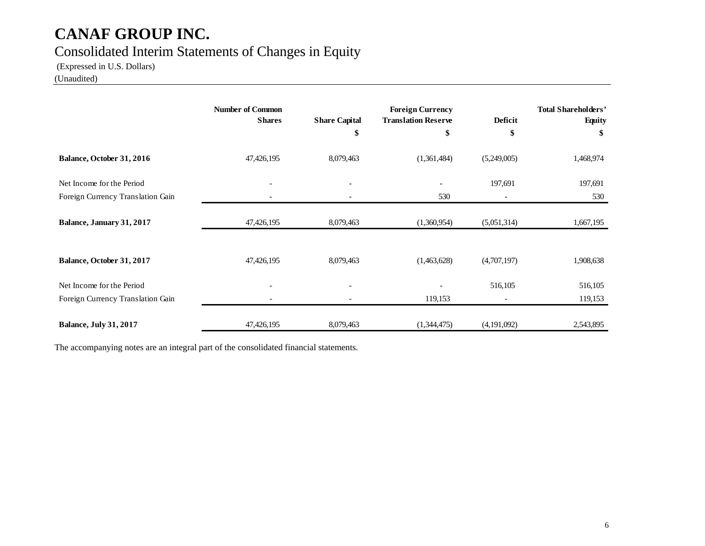## Consolidated Interim Statements of Changes in Equity

(Expressed in U.S. Dollars)

(Unaudited)

|                                   | <b>Number of Common</b><br><b>Shares</b> | <b>Share Capital</b><br>\$ | <b>Foreign Currency</b><br><b>Translation Reserve</b><br>\$ | Deficit<br>\$            | <b>Total Shareholders'</b><br><b>Equity</b><br>\$ |
|-----------------------------------|------------------------------------------|----------------------------|-------------------------------------------------------------|--------------------------|---------------------------------------------------|
|                                   |                                          |                            |                                                             |                          |                                                   |
| Balance, October 31, 2016         | 47, 426, 195                             | 8,079,463                  | (1,361,484)                                                 | (5,249,005)              | 1,468,974                                         |
| Net Income for the Period         |                                          |                            |                                                             | 197,691                  | 197,691                                           |
| Foreign Currency Translation Gain |                                          |                            | 530                                                         |                          | 530                                               |
| Balance, January 31, 2017         | 47, 426, 195                             | 8,079,463                  | (1,360,954)                                                 | (5,051,314)              | 1,667,195                                         |
| Balance, October 31, 2017         | 47,426,195                               | 8,079,463                  | (1,463,628)                                                 | (4,707,197)              | 1,908,638                                         |
| Net Income for the Period         | $\overline{\phantom{a}}$                 |                            |                                                             | 516,105                  | 516,105                                           |
| Foreign Currency Translation Gain | $\overline{\phantom{0}}$                 |                            | 119,153                                                     | $\overline{\phantom{a}}$ | 119,153                                           |
| <b>Balance, July 31, 2017</b>     | 47,426,195                               | 8,079,463                  | (1,344,475)                                                 | (4,191,092)              | 2,543,895                                         |

The accompanying notes are an integral part of the consolidated financial statements.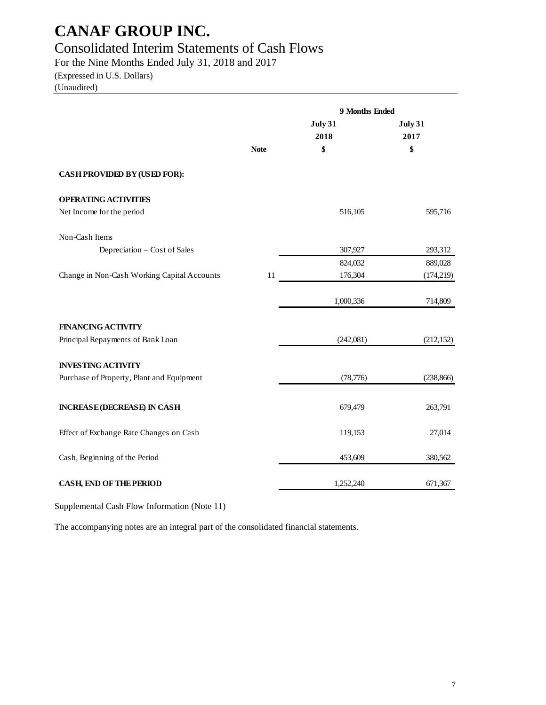## Consolidated Interim Statements of Cash Flows

For the Nine Months Ended July 31, 2018 and 2017

### (Expressed in U.S. Dollars)

(Unaudited)

|                                             |             | 9 Months Ended  |                 |
|---------------------------------------------|-------------|-----------------|-----------------|
|                                             |             | July 31<br>2018 | July 31<br>2017 |
|                                             | <b>Note</b> | \$              | \$              |
| CASH PROVIDED BY (USED FOR):                |             |                 |                 |
| <b>OPERATING ACTIVITIES</b>                 |             |                 |                 |
| Net Income for the period                   |             | 516,105         | 595,716         |
| Non-Cash Items                              |             |                 |                 |
| Depreciation - Cost of Sales                |             | 307,927         | 293,312         |
|                                             |             | 824,032         | 889,028         |
| Change in Non-Cash Working Capital Accounts | 11          | 176,304         | (174, 219)      |
|                                             |             | 1,000,336       | 714,809         |
| <b>FINANCING ACTIVITY</b>                   |             |                 |                 |
| Principal Repayments of Bank Loan           |             | (242,081)       | (212, 152)      |
| <b>INVESTING ACTIVITY</b>                   |             |                 |                 |
| Purchase of Property, Plant and Equipment   |             | (78, 776)       | (238, 866)      |
| <b>INCREASE (DECREASE) IN CASH</b>          |             | 679,479         | 263,791         |
| Effect of Exchange Rate Changes on Cash     |             | 119,153         | 27,014          |
| Cash, Beginning of the Period               |             | 453,609         | 380,562         |
| <b>CASH, END OF THE PERIOD</b>              |             | 1,252,240       | 671,367         |

Supplemental Cash Flow Information (Note 11)

The accompanying notes are an integral part of the consolidated financial statements.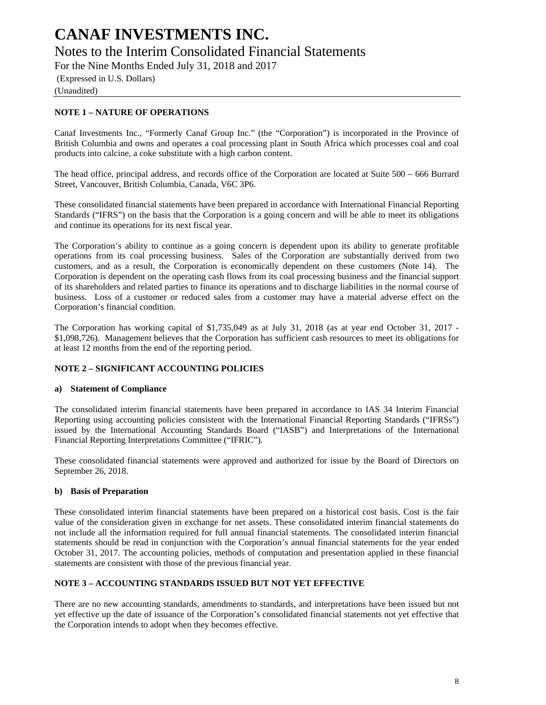## **CANAF INVESTMENTS INC.** Notes to the Interim Consolidated Financial Statements

For the Nine Months Ended July 31, 2018 and 2017

(Expressed in U.S. Dollars)

(Unaudited)

### **NOTE 1 – NATURE OF OPERATIONS**

Canaf Investments Inc., "Formerly Canaf Group Inc." (the "Corporation") is incorporated in the Province of British Columbia and owns and operates a coal processing plant in South Africa which processes coal and coal products into calcine, a coke substitute with a high carbon content.

The head office, principal address, and records office of the Corporation are located at Suite 500 – 666 Burrard Street, Vancouver, British Columbia, Canada, V6C 3P6.

These consolidated financial statements have been prepared in accordance with International Financial Reporting Standards ("IFRS") on the basis that the Corporation is a going concern and will be able to meet its obligations and continue its operations for its next fiscal year.

The Corporation's ability to continue as a going concern is dependent upon its ability to generate profitable operations from its coal processing business. Sales of the Corporation are substantially derived from two customers, and as a result, the Corporation is economically dependent on these customers (Note 14). The Corporation is dependent on the operating cash flows from its coal processing business and the financial support of its shareholders and related parties to finance its operations and to discharge liabilities in the normal course of business. Loss of a customer or reduced sales from a customer may have a material adverse effect on the Corporation's financial condition.

The Corporation has working capital of \$1,735,049 as at July 31, 2018 (as at year end October 31, 2017 - \$1,098,726). Management believes that the Corporation has sufficient cash resources to meet its obligations for at least 12 months from the end of the reporting period.

### **NOTE 2 – SIGNIFICANT ACCOUNTING POLICIES**

### **a) Statement of Compliance**

The consolidated interim financial statements have been prepared in accordance to IAS 34 Interim Financial Reporting using accounting policies consistent with the International Financial Reporting Standards ("IFRSs") issued by the International Accounting Standards Board ("IASB") and Interpretations of the International Financial Reporting Interpretations Committee ("IFRIC").

These consolidated financial statements were approved and authorized for issue by the Board of Directors on September 26, 2018.

### **b) Basis of Preparation**

These consolidated interim financial statements have been prepared on a historical cost basis. Cost is the fair value of the consideration given in exchange for net assets. These consolidated interim financial statements do not include all the information required for full annual financial statements. The consolidated interim financial statements should be read in conjunction with the Corporation's annual financial statements for the year ended October 31, 2017. The accounting policies, methods of computation and presentation applied in these financial statements are consistent with those of the previous financial year.

### **NOTE 3 – ACCOUNTING STANDARDS ISSUED BUT NOT YET EFFECTIVE**

There are no new accounting standards, amendments to standards, and interpretations have been issued but not yet effective up the date of issuance of the Corporation's consolidated financial statements not yet effective that the Corporation intends to adopt when they becomes effective.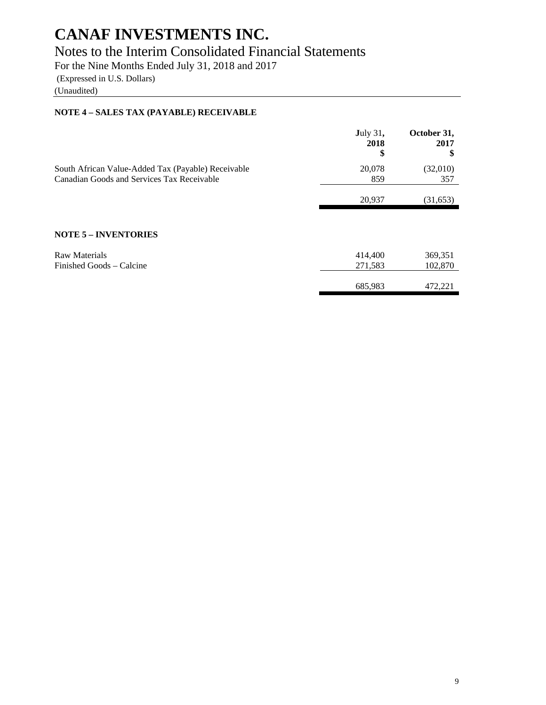## Notes to the Interim Consolidated Financial Statements

For the Nine Months Ended July 31, 2018 and 2017

(Expressed in U.S. Dollars)

(Unaudited)

### **NOTE 4 – SALES TAX (PAYABLE) RECEIVABLE**

|                                                                                                  | <b>July 31,</b><br>2018<br>\$ | October 31,<br>2017<br>S |
|--------------------------------------------------------------------------------------------------|-------------------------------|--------------------------|
| South African Value-Added Tax (Payable) Receivable<br>Canadian Goods and Services Tax Receivable | 20,078<br>859                 | (32,010)<br>357          |
|                                                                                                  | 20,937                        | (31,653)                 |
|                                                                                                  |                               |                          |
| <b>NOTE 5 - INVENTORIES</b>                                                                      |                               |                          |
| <b>Raw Materials</b><br>Finished Goods – Calcine                                                 | 414,400                       | 369,351                  |
|                                                                                                  | 271,583                       | 102,870                  |
|                                                                                                  | 685,983                       | 472,221                  |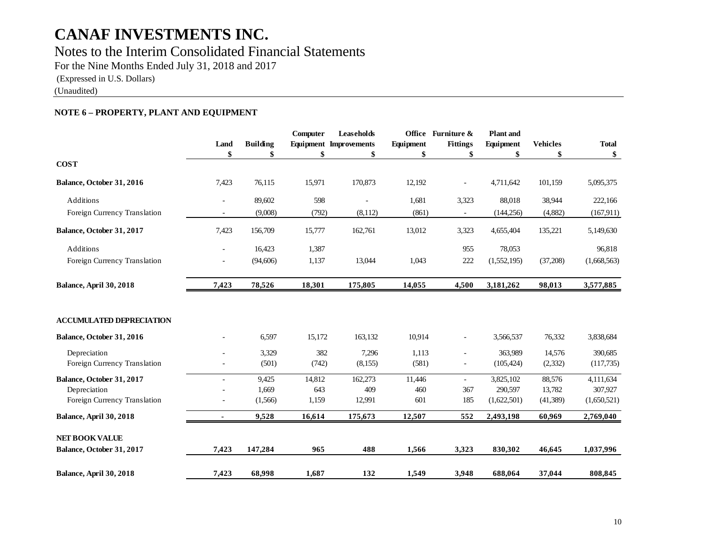Notes to the Interim Consolidated Financial Statements

For the Nine Months Ended July 31, 2018 and 2017

(Expressed in U.S. Dollars)

(Unaudited)

### **NOTE 6 – PROPERTY, PLANT AND EQUIPMENT**

|                                 | Land<br>\$               | <b>Building</b><br>\$ | Computer<br>\$ | <b>Leaseholds</b><br><b>Equipment</b> Improvements<br>\$ | Equipment<br>\$ | Office Furniture &<br><b>Fittings</b><br>\$ | <b>Plant</b> and<br>Equipment<br>\$ | <b>Vehicles</b><br>\$ | <b>Total</b><br>\$ |
|---------------------------------|--------------------------|-----------------------|----------------|----------------------------------------------------------|-----------------|---------------------------------------------|-------------------------------------|-----------------------|--------------------|
| <b>COST</b>                     |                          |                       |                |                                                          |                 |                                             |                                     |                       |                    |
| Balance, October 31, 2016       | 7,423                    | 76,115                | 15,971         | 170,873                                                  | 12,192          | $\overline{\phantom{0}}$                    | 4,711,642                           | 101,159               | 5,095,375          |
| Additions                       | $\overline{\phantom{a}}$ | 89,602                | 598            | $\blacksquare$                                           | 1,681           | 3,323                                       | 88,018                              | 38,944                | 222,166            |
| Foreign Currency Translation    | $\blacksquare$           | (9,008)               | (792)          | (8,112)                                                  | (861)           | $\overline{\phantom{a}}$                    | (144, 256)                          | (4,882)               | (167, 911)         |
| Balance, October 31, 2017       | 7,423                    | 156,709               | 15,777         | 162,761                                                  | 13,012          | 3,323                                       | 4,655,404                           | 135,221               | 5,149,630          |
| Additions                       | ٠                        | 16,423                | 1,387          |                                                          |                 | 955                                         | 78,053                              |                       | 96,818             |
| Foreign Currency Translation    | $\overline{\phantom{a}}$ | (94, 606)             | 1,137          | 13,044                                                   | 1,043           | 222                                         | (1,552,195)                         | (37,208)              | (1,668,563)        |
| Balance, April 30, 2018         | 7,423                    | 78,526                | 18,301         | 175,805                                                  | 14,055          | 4,500                                       | 3,181,262                           | 98,013                | 3,577,885          |
| <b>ACCUMULATED DEPRECIATION</b> |                          |                       |                |                                                          |                 |                                             |                                     |                       |                    |
| Balance, October 31, 2016       |                          | 6,597                 | 15,172         | 163,132                                                  | 10,914          | $\overline{\phantom{0}}$                    | 3,566,537                           | 76,332                | 3,838,684          |
| Depreciation                    |                          | 3,329                 | 382            | 7,296                                                    | 1,113           | ÷.                                          | 363,989                             | 14,576                | 390,685            |
| Foreign Currency Translation    |                          | (501)                 | (742)          | (8,155)                                                  | (581)           | $\overline{\phantom{0}}$                    | (105, 424)                          | (2, 332)              | (117,735)          |
| Balance, October 31, 2017       | ٠                        | 9,425                 | 14,812         | 162,273                                                  | 11,446          | ÷.                                          | 3,825,102                           | 88,576                | 4,111,634          |
| Depreciation                    |                          | 1,669                 | 643            | 409                                                      | 460             | 367                                         | 290,597                             | 13,782                | 307,927            |
| Foreign Currency Translation    |                          | (1,566)               | 1,159          | 12,991                                                   | 601             | 185                                         | (1,622,501)                         | (41,389)              | (1,650,521)        |
| Balance, April 30, 2018         |                          | 9,528                 | 16,614         | 175,673                                                  | 12,507          | 552                                         | 2,493,198                           | 60,969                | 2,769,040          |
| <b>NET BOOK VALUE</b>           |                          |                       |                |                                                          |                 |                                             |                                     |                       |                    |
| Balance, October 31, 2017       | 7,423                    | 147,284               | 965            | 488                                                      | 1,566           | 3,323                                       | 830,302                             | 46,645                | 1,037,996          |
| <b>Balance, April 30, 2018</b>  | 7,423                    | 68,998                | 1,687          | 132                                                      | 1,549           | 3,948                                       | 688,064                             | 37,044                | 808,845            |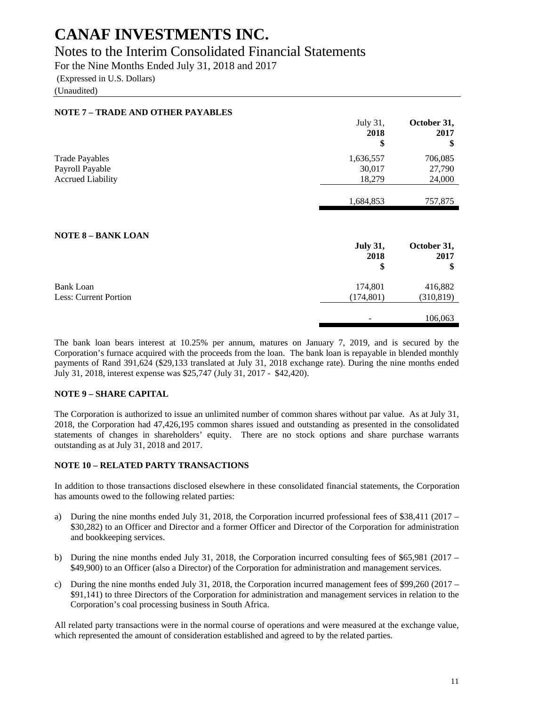## Notes to the Interim Consolidated Financial Statements

For the Nine Months Ended July 31, 2018 and 2017

(Expressed in U.S. Dollars)

(Unaudited)

| <b>NOTE 7 - TRADE AND OTHER PAYABLES</b>  |                               |                           |
|-------------------------------------------|-------------------------------|---------------------------|
|                                           | July 31,<br>2018<br>\$        | October 31,<br>2017<br>\$ |
| <b>Trade Payables</b>                     | 1,636,557                     | 706,085                   |
| Payroll Payable                           | 30,017                        | 27,790                    |
| <b>Accrued Liability</b>                  | 18,279                        | 24,000                    |
|                                           | 1,684,853                     | 757,875                   |
| <b>NOTE 8 - BANK LOAN</b>                 | <b>July 31,</b><br>2018<br>\$ | October 31,<br>2017<br>\$ |
| <b>Bank Loan</b><br>Less: Current Portion | 174,801<br>(174, 801)         | 416,882<br>(310, 819)     |
|                                           |                               | 106,063                   |

The bank loan bears interest at 10.25% per annum, matures on January 7, 2019, and is secured by the Corporation's furnace acquired with the proceeds from the loan. The bank loan is repayable in blended monthly payments of Rand 391,624 (\$29,133 translated at July 31, 2018 exchange rate). During the nine months ended July 31, 2018, interest expense was \$25,747 (July 31, 2017 - \$42,420).

### **NOTE 9 – SHARE CAPITAL**

The Corporation is authorized to issue an unlimited number of common shares without par value. As at July 31, 2018, the Corporation had 47,426,195 common shares issued and outstanding as presented in the consolidated statements of changes in shareholders' equity. There are no stock options and share purchase warrants outstanding as at July 31, 2018 and 2017.

#### **NOTE 10 – RELATED PARTY TRANSACTIONS**

In addition to those transactions disclosed elsewhere in these consolidated financial statements, the Corporation has amounts owed to the following related parties:

- a) During the nine months ended July 31, 2018, the Corporation incurred professional fees of \$38,411 (2017 \$30,282) to an Officer and Director and a former Officer and Director of the Corporation for administration and bookkeeping services.
- b) During the nine months ended July 31, 2018, the Corporation incurred consulting fees of \$65,981 (2017 \$49,900) to an Officer (also a Director) of the Corporation for administration and management services.
- c) During the nine months ended July 31, 2018, the Corporation incurred management fees of \$99,260 (2017 \$91,141) to three Directors of the Corporation for administration and management services in relation to the Corporation's coal processing business in South Africa.

All related party transactions were in the normal course of operations and were measured at the exchange value, which represented the amount of consideration established and agreed to by the related parties.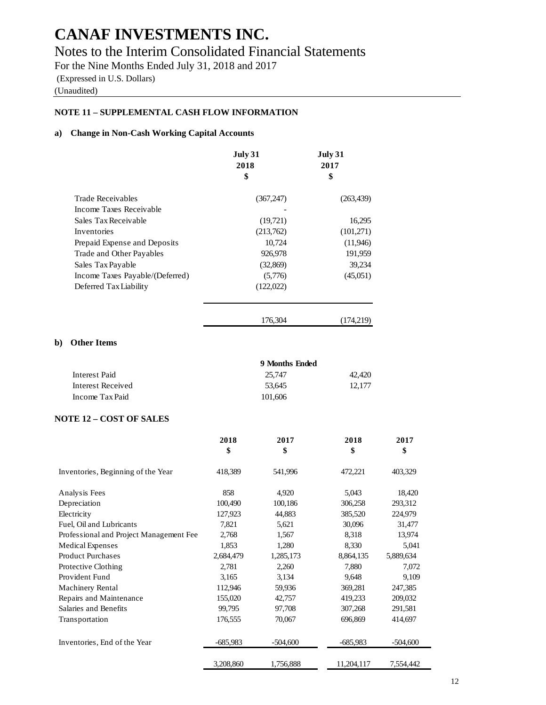## Notes to the Interim Consolidated Financial Statements

For the Nine Months Ended July 31, 2018 and 2017 (Expressed in U.S. Dollars) (Unaudited)

### **NOTE 11 – SUPPLEMENTAL CASH FLOW INFORMATION**

### **a) Change in Non-Cash Working Capital Accounts**

|                                 | July 31<br>2018<br>\$ | July 31<br>2017<br>\$ |
|---------------------------------|-----------------------|-----------------------|
| <b>Trade Receivables</b>        | (367, 247)            | (263, 439)            |
| Income Taxes Receivable         |                       |                       |
| Sales Tax Receivable            | (19,721)              | 16,295                |
| Inventories                     | (213,762)             | (101,271)             |
| Prepaid Expense and Deposits    | 10,724                | (11,946)              |
| Trade and Other Payables        | 926,978               | 191,959               |
| Sales Tax Payable               | (32,869)              | 39,234                |
| Income Taxes Payable/(Deferred) | (5,776)               | (45,051)              |
| Deferred Tax Liability          | (122,022)             |                       |
|                                 | 176,304               | (174.219)             |

### **b) Other Items**

| Interest Paid     | 9 Months Ended |        |  |  |  |
|-------------------|----------------|--------|--|--|--|
|                   | 25.747         | 42,420 |  |  |  |
| Interest Received | 53.645         | 12.177 |  |  |  |
| Income Tax Paid   | 101,606        |        |  |  |  |

#### **NOTE 12 – COST OF SALES**

|                                         | 2018<br>\$ | 2017<br>\$ | 2018<br>\$ | 2017<br>\$ |
|-----------------------------------------|------------|------------|------------|------------|
| Inventories, Beginning of the Year      | 418,389    | 541,996    | 472,221    | 403,329    |
| Analysis Fees                           | 858        | 4,920      | 5,043      | 18,420     |
| Depreciation                            | 100,490    | 100,186    | 306,258    | 293,312    |
| Electricity                             | 127,923    | 44,883     | 385,520    | 224,979    |
| Fuel, Oil and Lubricants                | 7,821      | 5,621      | 30,096     | 31,477     |
| Professional and Project Management Fee | 2,768      | 1,567      | 8.318      | 13,974     |
| <b>Medical Expenses</b>                 | 1,853      | 1,280      | 8,330      | 5,041      |
| <b>Product Purchases</b>                | 2,684,479  | 1,285,173  | 8,864,135  | 5,889,634  |
| Protective Clothing                     | 2,781      | 2,260      | 7,880      | 7,072      |
| Provident Fund                          | 3,165      | 3,134      | 9,648      | 9,109      |
| <b>Machinery Rental</b>                 | 112,946    | 59,936     | 369,281    | 247,385    |
| Repairs and Maintenance                 | 155,020    | 42,757     | 419,233    | 209,032    |
| Salaries and Benefits                   | 99,795     | 97,708     | 307,268    | 291,581    |
| Transportation                          | 176,555    | 70,067     | 696,869    | 414,697    |
| Inventories, End of the Year            | $-685,983$ | $-504,600$ | $-685,983$ | $-504,600$ |
|                                         | 3,208,860  | 1,756,888  | 11,204,117 | 7,554,442  |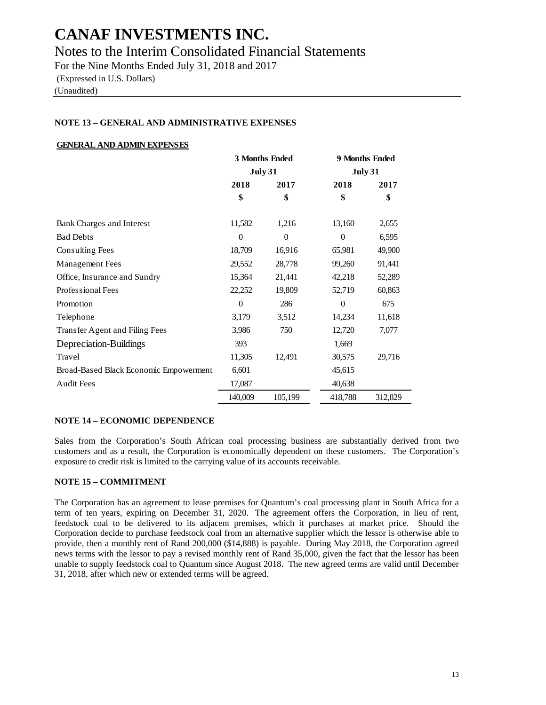Notes to the Interim Consolidated Financial Statements

For the Nine Months Ended July 31, 2018 and 2017 (Expressed in U.S. Dollars) (Unaudited)

### **NOTE 13 – GENERAL AND ADMINISTRATIVE EXPENSES**

### **GENERAL AND ADMIN EXPENSES**

|                                        | 3 Months Ended<br><b>July 31</b> |          | 9 Months Ended |                |
|----------------------------------------|----------------------------------|----------|----------------|----------------|
|                                        |                                  |          |                | <b>July 31</b> |
|                                        | 2018                             | 2017     | 2018           | 2017           |
|                                        | \$                               | \$       | \$             | \$             |
| Bank Charges and Interest              | 11,582                           | 1,216    | 13,160         | 2,655          |
| <b>Bad Debts</b>                       | $\Omega$                         | $\Omega$ | $\theta$       | 6,595          |
| <b>Consulting Fees</b>                 | 18,709                           | 16,916   | 65,981         | 49,900         |
| <b>Management</b> Fees                 | 29,552                           | 28,778   | 99,260         | 91,441         |
| Office, Insurance and Sundry           | 15,364                           | 21,441   | 42,218         | 52,289         |
| Professional Fees                      | 22,252                           | 19,809   | 52,719         | 60,863         |
| Promotion                              | $\theta$                         | 286      | $\Omega$       | 675            |
| Telephone                              | 3,179                            | 3,512    | 14,234         | 11,618         |
| Transfer Agent and Filing Fees         | 3,986                            | 750      | 12,720         | 7,077          |
| Depreciation-Buildings                 | 393                              |          | 1,669          |                |
| Travel                                 | 11,305                           | 12,491   | 30,575         | 29,716         |
| Broad-Based Black Economic Empowerment | 6,601                            |          | 45,615         |                |
| <b>Audit Fees</b>                      | 17,087                           |          | 40,638         |                |
|                                        | 140,009                          | 105,199  | 418,788        | 312,829        |

#### **NOTE 14 – ECONOMIC DEPENDENCE**

Sales from the Corporation's South African coal processing business are substantially derived from two customers and as a result, the Corporation is economically dependent on these customers. The Corporation's exposure to credit risk is limited to the carrying value of its accounts receivable.

### **NOTE 15 – COMMITMENT**

The Corporation has an agreement to lease premises for Quantum's coal processing plant in South Africa for a term of ten years, expiring on December 31, 2020. The agreement offers the Corporation, in lieu of rent, feedstock coal to be delivered to its adjacent premises, which it purchases at market price. Should the Corporation decide to purchase feedstock coal from an alternative supplier which the lessor is otherwise able to provide, then a monthly rent of Rand 200,000 (\$14,888) is payable. During May 2018, the Corporation agreed news terms with the lessor to pay a revised monthly rent of Rand 35,000, given the fact that the lessor has been unable to supply feedstock coal to Quantum since August 2018. The new agreed terms are valid until December 31, 2018, after which new or extended terms will be agreed.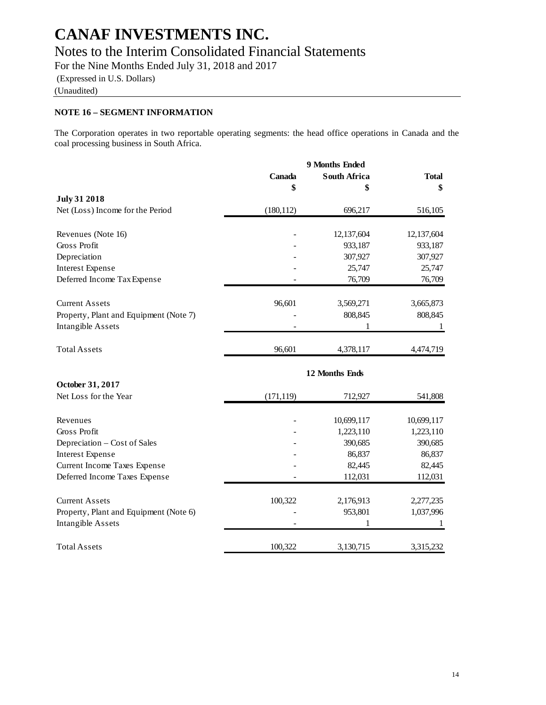## **CANAF INVESTMENTS INC.** Notes to the Interim Consolidated Financial Statements

For the Nine Months Ended July 31, 2018 and 2017

(Expressed in U.S. Dollars)

(Unaudited)

### **NOTE 16 – SEGMENT INFORMATION**

The Corporation operates in two reportable operating segments: the head office operations in Canada and the coal processing business in South Africa.

|                                        |            | 9 Months Ended      |              |
|----------------------------------------|------------|---------------------|--------------|
|                                        | Canada     | <b>South Africa</b> | <b>Total</b> |
|                                        | \$         | \$                  | \$           |
| <b>July 31 2018</b>                    |            |                     |              |
| Net (Loss) Income for the Period       | (180, 112) | 696,217             | 516,105      |
| Revenues (Note 16)                     |            | 12,137,604          | 12,137,604   |
| Gross Profit                           |            | 933,187             | 933,187      |
| Depreciation                           |            | 307,927             | 307,927      |
| Interest Expense                       |            | 25,747              | 25,747       |
| Deferred Income Tax Expense            |            | 76,709              | 76,709       |
| <b>Current Assets</b>                  | 96,601     | 3,569,271           | 3,665,873    |
| Property, Plant and Equipment (Note 7) |            | 808,845             | 808,845      |
| Intangible Assets                      |            | 1                   | 1            |
| <b>Total Assets</b>                    | 96,601     | 4,378,117           | 4,474,719    |
|                                        |            | 12 Months Ends      |              |
| October 31, 2017                       |            |                     |              |
| Net Loss for the Year                  | (171, 119) | 712,927             | 541,808      |
| Revenues                               |            | 10,699,117          | 10,699,117   |
| Gross Profit                           |            | 1,223,110           | 1,223,110    |
| Depreciation – Cost of Sales           |            | 390,685             | 390,685      |
| Interest Expense                       |            | 86,837              | 86,837       |
| Current Income Taxes Expense           |            | 82,445              | 82,445       |
| Deferred Income Taxes Expense          |            | 112,031             | 112,031      |
| <b>Current Assets</b>                  | 100,322    | 2,176,913           | 2,277,235    |
| Property, Plant and Equipment (Note 6) |            | 953,801             | 1,037,996    |
| Intangible Assets                      |            | 1                   | 1            |
| <b>Total Assets</b>                    | 100,322    | 3,130,715           | 3,315,232    |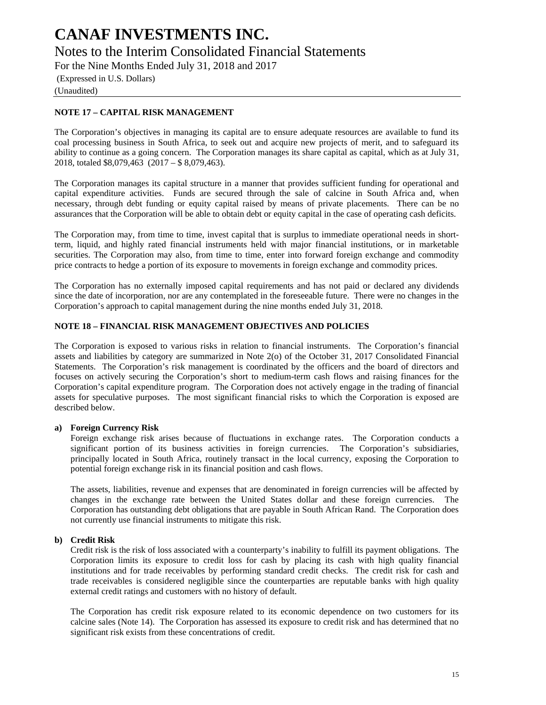## **CANAF INVESTMENTS INC.** Notes to the Interim Consolidated Financial Statements

For the Nine Months Ended July 31, 2018 and 2017

(Expressed in U.S. Dollars)

(Unaudited)

### **NOTE 17 – CAPITAL RISK MANAGEMENT**

The Corporation's objectives in managing its capital are to ensure adequate resources are available to fund its coal processing business in South Africa, to seek out and acquire new projects of merit, and to safeguard its ability to continue as a going concern. The Corporation manages its share capital as capital, which as at July 31, 2018, totaled \$8,079,463 (2017 – \$ 8,079,463).

The Corporation manages its capital structure in a manner that provides sufficient funding for operational and capital expenditure activities. Funds are secured through the sale of calcine in South Africa and, when necessary, through debt funding or equity capital raised by means of private placements. There can be no assurances that the Corporation will be able to obtain debt or equity capital in the case of operating cash deficits.

The Corporation may, from time to time, invest capital that is surplus to immediate operational needs in shortterm, liquid, and highly rated financial instruments held with major financial institutions, or in marketable securities. The Corporation may also, from time to time, enter into forward foreign exchange and commodity price contracts to hedge a portion of its exposure to movements in foreign exchange and commodity prices.

The Corporation has no externally imposed capital requirements and has not paid or declared any dividends since the date of incorporation, nor are any contemplated in the foreseeable future. There were no changes in the Corporation's approach to capital management during the nine months ended July 31, 2018.

### **NOTE 18 – FINANCIAL RISK MANAGEMENT OBJECTIVES AND POLICIES**

The Corporation is exposed to various risks in relation to financial instruments. The Corporation's financial assets and liabilities by category are summarized in Note 2(o) of the October 31, 2017 Consolidated Financial Statements. The Corporation's risk management is coordinated by the officers and the board of directors and focuses on actively securing the Corporation's short to medium-term cash flows and raising finances for the Corporation's capital expenditure program. The Corporation does not actively engage in the trading of financial assets for speculative purposes. The most significant financial risks to which the Corporation is exposed are described below.

#### **a) Foreign Currency Risk**

Foreign exchange risk arises because of fluctuations in exchange rates. The Corporation conducts a significant portion of its business activities in foreign currencies. The Corporation's subsidiaries, principally located in South Africa, routinely transact in the local currency, exposing the Corporation to potential foreign exchange risk in its financial position and cash flows.

The assets, liabilities, revenue and expenses that are denominated in foreign currencies will be affected by changes in the exchange rate between the United States dollar and these foreign currencies. The Corporation has outstanding debt obligations that are payable in South African Rand. The Corporation does not currently use financial instruments to mitigate this risk.

#### **b) Credit Risk**

Credit risk is the risk of loss associated with a counterparty's inability to fulfill its payment obligations. The Corporation limits its exposure to credit loss for cash by placing its cash with high quality financial institutions and for trade receivables by performing standard credit checks. The credit risk for cash and trade receivables is considered negligible since the counterparties are reputable banks with high quality external credit ratings and customers with no history of default.

The Corporation has credit risk exposure related to its economic dependence on two customers for its calcine sales (Note 14). The Corporation has assessed its exposure to credit risk and has determined that no significant risk exists from these concentrations of credit.